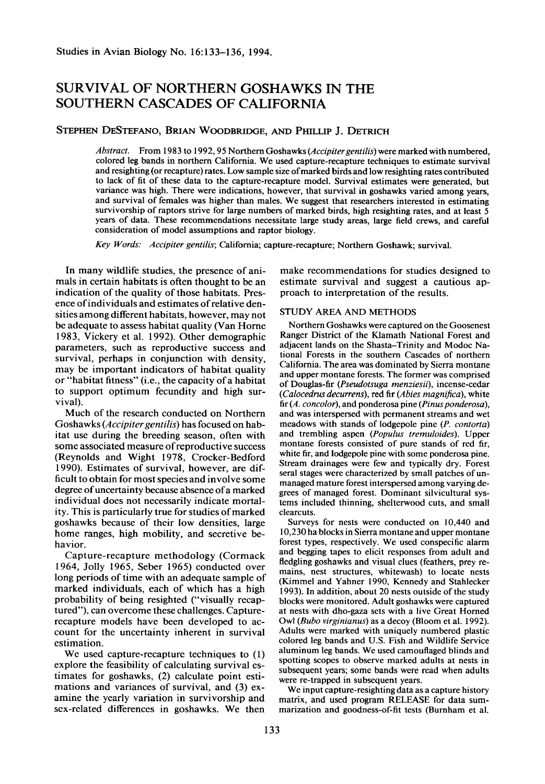# **SURVIVAL OF NORTHERN GOSHAWKS IN THE SOUTHERN CASCADES OF CALIFORNIA**

# **STEPHEN DESTEFANO, BRIAN WOODBRIDGE, AND PHILLIP J. DETRICH**

**Abstract. From 1983 to 1992,95 Northern Goshawks (Accipitergentilis) were marked with numbered, colored leg bands in northern California. We used capture-recapture techniques to estimate survival and resighting (or recapture) rates. Low sample size of marked birds and low resighting rates contributed to lack of fit of these data to the capture-recapture model. Survival estimates were generated, but variance was high. There were indications, however, that survival in goshawks varied among years, and survival of females was higher than males. We suggest that researchers interested in estimating survivorship of raptors strive for large numbers of marked birds, high resighting rates, and at least 5 years of data. These recommendations necessitate large study areas, large field crews, and careful consideration of model assumptions and raptor biology.** 

**Key Words: Accipiter gentifis; California; capture-recapture; Northern Goshawk; survival.** 

**In many wildlife studies, the presence of animals in certain habitats is often thought to be an indication of the quality of those habitats. Presence of individuals and estimates of relative densities among different habitats, however, may not be adequate to assess habitat quality (Van Home 1983, Vickery et al. 1992). Other demographic parameters, such as reproductive success and survival, perhaps in conjunction with density, may be important indicators of habitat quality or "habitat fitness" (i.e., the capacity of a habitat to support optimum fecundity and high survival).** 

**Much of the research conducted on Northern**  Goshawks (*Accipiter gentilis*) has focused on hab**itat use during the breeding season, often with some associated measure of reproductive success (Reynolds and Wight 1978, Cracker-Bedford 1990). Estimates of survival, however, are difficult to obtain for most species and involve some degree of uncertainty because absence of a marked individual does not necessarily indicate mortality. This is particularly true for studies of marked goshawks because of their low densities, large home ranges, high mobility, and secretive behavior.** 

**Capture-recapture methodology (Cormack 1964, Jolly 1965, Seber 1965) conducted over long periods of time with an adequate sample of marked individuals, each of which has a high probability of being resighted ("visually recaptured"), can overcome these challenges. Capturerecapture models have been developed to account for the uncertainty inherent in survival estimation.** 

**We used capture-recapture techniques to (1) explore the feasibility of calculating survival estimates for goshawks, (2) calculate point estimations and variances of survival, and (3) examine the yearly variation in survivorship and sex-related differences in goshawks. We then** 

**make recommendations for studies designed to estimate survival and suggest a cautious approach to interpretation of the results.** 

## **STUDY AREA AND METHODS**

**Northern Goshawks were captured on the Goosenest Ranger District of the Klamath National Forest and adjacent lands on the Shasta-Trinity and Modoc National Forests in the southern Cascades of northern California. The area was dominated by Sierra montane and upper montane forests. The former was comprised of Douglas-fir (Pseudotsugu menziesii), incense-cedar (Calocedrus decurrens), red fir (Abies magnifica), white** fir (A. concolor), and ponderosa pine (Pinus ponderosa), **and was interspersed with permanent streams and wet meadows with stands of lodgepole pine (P. contorta)**  and trembling aspen (Populus tremuloides). Upper **montane forests consisted of pure stands of red fir, white fir, and lodgepole pine with some ponderosa pine. Stream drainages were few and typically dry. Forest seral stages were characterized by small patches of unmanaged mature forest interspersed among varying degrees of managed forest. Dominant silvicultural systems included thinning, shelterwood cuts, and small clearcuts.** 

**Surveys for nests were conducted on 10,440 and 10,230 ha blocks in Sierra montane and upper montane forest types, respectively. We used conspecific alarm and begging tapes to elicit responses from adult and fledgling goshawks and visual clues (feathers, prey remains, nest structures, whitewash) to locate nests (Kimmel and Yahner 1990, Kennedy and Stahlecker 1993). In addition, about 20 nests outside of the study blocks were monitored. Adult goshawks were captured at nests with dho-gaza sets with a live Great Homed Owl (Bubo virginianus) as a decoy (Bloom et al. 1992). Adults were marked with uniquely numbered plastic colored leg bands and U.S. Fish and Wildlife Service aluminum leg bands. We used camouflaged blinds and spotting scopes to observe marked adults at nests in subsequent years; some bands were read when adults were re-trapped in subsequent years.** 

**We input capture-resighting data as a capture history matrix, and used program RELEASE for data summarization and goodness-of-fit tests (Bumham et al.**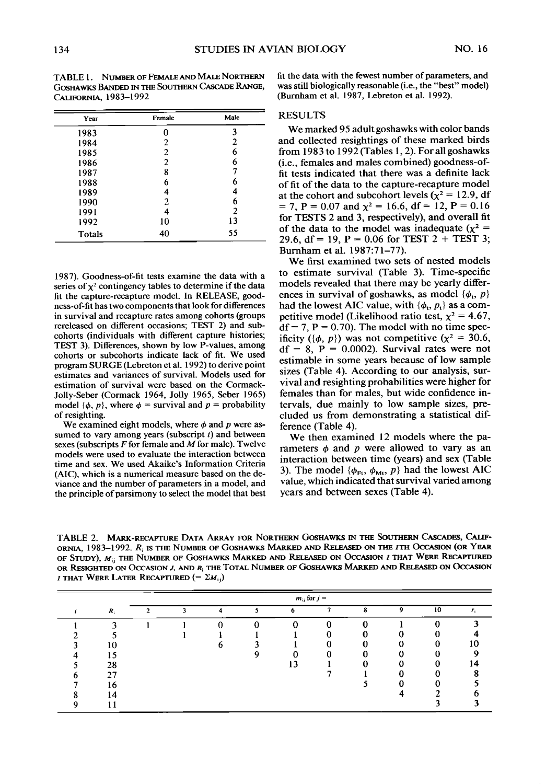**Cios~~wrcs BANDED IN THE SOUTHERN CASCADE RANGE, was still biologically reasonable (i.e., the "best" model) cALlFORN,4, 1983-1992 (Bumham et al. 1987, Lebreton et al. 1992).** 

| Year   | Female         | Male |
|--------|----------------|------|
| 1983   | n              | 3    |
| 1984   | 2              | 2    |
| 1985   | 2              | 6    |
| 1986   | $\overline{2}$ | 6    |
| 1987   | 8              | 7    |
| 1988   | 6              | 6    |
| 1989   | 4              | 4    |
| 1990   | $\overline{2}$ | 6    |
| 1991   | 4              | 2    |
| 1992   | 10             | 13   |
| Totals | 40             | 55   |

**1987). Goodness-of-fit tests examine the data with a**  series of  $\chi^2$  contingency tables to determine if the data **fit the capture-recapture model. In RELEASE, goodness-of-fit has two components that look for differences in survival and recapture rates among cohorts (groups rereleased on different occasions; TEST 2) and subcohorts (individuals with different capture histories; TEST 3). Differences, shown by low P-values, among cohorts or subcohorts indicate lack of fit. We used program SURGE (Lebreton et al. 1992) to derive point estimates and variances of survival. Models used for**  estimation of survival were based on the Cormack-**Jolly-Seber (Cormack 1964, Jolly 1965, Seber 1965)**  model  $\{\phi, p\}$ , where  $\phi$  = survival and  $p$  = probability **of resighting.** 

We examined eight models, where  $\phi$  and  $p$  were assumed to vary among years (subscript t) and between **sexes (subscripts F for female and A4 for male). Twelve models were used to evaluate the interaction between time and sex. We used Akaike's Information Criteria (AIC), which is a numerical measure based on the deviance and the number of parameters in a model, and the principle of parsimony to select the model that best** 

**TABLE 1. NUMBER OF FEMALE AND MALE NORTHERN fit the data with the fewest number of parameters, and** 

### **RESULTS**

**We marked 95 adult goshawks with color bands and collected resightings of these marked birds from 1983 to 1992 (Tables 1,2). For all goshawks (i.e., females and males combined) goodness-offit tests indicated that there was a definite lack of fit of the data to the capture-recapture model**  at the cohort and subcohort levels ( $\chi^2$  = 12.9, df  $= 7, P = 0.07$  and  $\chi^2 = 16.6$ , df = 12, P = 0.16 **for TESTS 2 and 3, respectively), and overall fit**  of the data to the model was inadequate  $(\chi^2 =$ **29.6, df = 19, P = 0.06 for TEST 2 + TEST 3; Bumham et al. 1987:71-77).** 

**We first examined two sets of nested models to estimate survival (Table 3). Time-specific models revealed that there may be yearly differ**ences in survival of goshawks, as model  $\{\phi_t, p\}$ had the lowest AIC value, with  $\{\phi_i, p_j\}$  as a com**petitive model (Likelihood ratio test,**  $\chi^2 = 4.67$ **,**  $df = 7$ ,  $P = 0.70$ ). The model with no time specificity ( $\{\phi, p\}$ ) was not competitive ( $\chi^2 = 30.6$ ,  $df = 8$ ,  $P = 0.0002$ ). Survival rates were not **estimable in some years because of low sample sizes (Table 4). According to our analysis, survival and resighting probabilities were higher for females than for males, but wide confidence intervals, due mainly to low sample sizes, precluded us from demonstrating a statistical difference (Table 4).** 

**We then examined 12 models where the pa**rameters  $\phi$  and  $p$  were allowed to vary as an **interaction between time (years) and sex (Table**  3). The model  $\{\phi_{\text{Ft}}, \phi_{\text{Mt}}, p\}$  had the lowest AIC **value, which indicated that survival varied among years and between sexes (Table 4).** 

TABLE 2. MARK-RECAPTURE DATA ARRAY FOR NORTHERN GOSHAWKS IN THE SOUTHERN CASCADES, CALIF-ORNIA, 1983-1992. R<sub>i</sub> is the Number of Goshawks Marked and Released on the *i*th Occasion (or Year OF STUDY),  $M_{ij}$  the Number of Goshawks Marked and Released on Occasion *i* that Were Recaptured OR RESIGHTED ON OCCASION J, AND R<sub>i</sub> THE TOTAL NUMBER OF GOSHAWKS MARKED AND RELEASED ON OCCASION **I THAT WERE LATER RECAPTURED (=**  $\Sigma M_{ii}$ **)** 

|    | $m_{ij}$ for $j =$ |    |  |  |   |   |  |   |    |                             |
|----|--------------------|----|--|--|---|---|--|---|----|-----------------------------|
| R. | $\mathcal{P}$      | n, |  |  | 6 | ∽ |  | 9 | 10 | $\mathcal{F}_{\mathcal{F}}$ |
| ٠  |                    |    |  |  | ◠ | Λ |  |   |    |                             |
|    |                    |    |  |  |   |   |  |   |    |                             |
| 10 |                    |    |  |  |   |   |  |   |    |                             |
|    |                    |    |  |  |   |   |  |   |    |                             |
| 28 |                    |    |  |  |   |   |  |   |    |                             |
| 27 |                    |    |  |  |   |   |  |   |    |                             |
| 16 |                    |    |  |  |   |   |  |   |    |                             |
| 14 |                    |    |  |  |   |   |  |   |    |                             |
|    |                    |    |  |  |   |   |  |   |    |                             |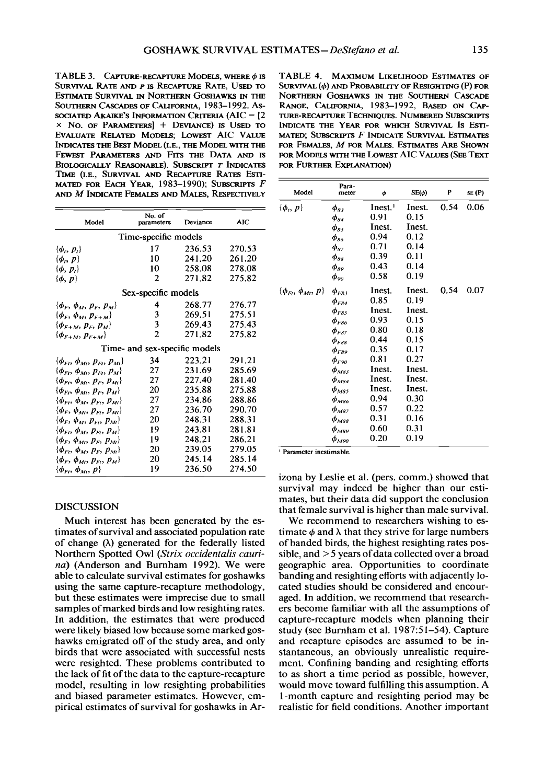TABLE 3. CAPTURE-RECAPTURE MODELS, WHERE  $\phi$  is SURVIVAL RATE AND P IS RECAPTURE RATE. USED TO ESTIMATE SURVIVAL IN NORTHERN GOSHAWKS IN THE SOUTHERN CASCADES OF CALIFORNIA, 1983-1992, AS-SOCIATED AKAIKE'S INFORMATION CRITERIA (AIC =  $[2]$  $\times$  No. of Parameters] + Deviance) is Used to EVALUATE RELATED MODELS; LOWEST AIC VALUE INDICATES THE BEST MODEL (I.E., THE MODEL WITH THE FEWEST PARAMETERS AND FITS THE DATA AND IS BIOLOGICALLY REASONABLE). SUBSCRIPT T INDICATES TIME (I.E., SURVIVAL AND RECAPTURE RATES ESTI-MATED FOR EACH YEAR, 1983-1990); SUBSCRIPTS F AND M INDICATE FEMALES AND MALES, RESPECTIVELY

| Model                                       | No. of<br>Deviance<br>parameters |        | <b>AIC</b> |  |  |  |  |  |  |
|---------------------------------------------|----------------------------------|--------|------------|--|--|--|--|--|--|
| Time-specific models                        |                                  |        |            |  |  |  |  |  |  |
| $\{\boldsymbol{\phi}_i, \boldsymbol{p}_i\}$ | 17                               | 236.53 | 270.53     |  |  |  |  |  |  |
| $\{\boldsymbol{\phi}_i, \boldsymbol{p}\}\$  | 10                               | 241.20 | 261.20     |  |  |  |  |  |  |
| $\{\boldsymbol{\phi},\boldsymbol{p}_i\}$    | 10                               | 258.08 | 278.08     |  |  |  |  |  |  |
| $\{\boldsymbol{\phi},\boldsymbol{p}\}$      | 2                                | 271.82 | 275.82     |  |  |  |  |  |  |
| Sex-specific models                         |                                  |        |            |  |  |  |  |  |  |
| $\{\phi_F, \phi_M, p_F, p_M\}$              | 4                                | 268.77 | 276.77     |  |  |  |  |  |  |
| $\{\phi_{F}, \phi_{M}, p_{F+M}\}$           | 3                                | 269.51 | 275.51     |  |  |  |  |  |  |
| $\{\phi_{F+M}, p_F, p_M\}$                  | 3                                | 269.43 | 275.43     |  |  |  |  |  |  |
| $\{\phi_{F+M}, p_{F+M}\}$                   | $\overline{c}$                   | 271.82 | 275.82     |  |  |  |  |  |  |
|                                             | Time- and sex-specific models    |        |            |  |  |  |  |  |  |
| $\{\phi_F, \phi_M, p_F, p_M\}$              | 34                               | 223.21 | 291.21     |  |  |  |  |  |  |
| $\{\phi_{Fi}, \phi_{Mi}, p_{Fi}, p_{Mi}\}$  | 27                               | 231.69 | 285.69     |  |  |  |  |  |  |
| $\{\phi_{Ft}, \phi_{Mt}, p_F, p_{Mt}\}$     | 27                               | 227.40 | 281.40     |  |  |  |  |  |  |
| $\{\phi_F, \phi_M, p_F, p_M\}$              | 20                               | 235.88 | 275.88     |  |  |  |  |  |  |
| $\{\phi_F, \phi_M, p_F, p_M\}$              | 27                               | 234.86 | 288.86     |  |  |  |  |  |  |
| $\{\phi_F, \phi_{Mi}, p_{Ft}, p_{Mi}\}$     | 27                               | 236.70 | 290.70     |  |  |  |  |  |  |
| $\{\phi_F, \phi_M, p_F, p_M\}$              | 20                               | 248.31 | 288.31     |  |  |  |  |  |  |
| $\{\phi_{Fi}, \phi_M, p_{Fi}, p_M\}$        | 19                               | 243.81 | 281.81     |  |  |  |  |  |  |
| $\{\phi_F, \phi_{Mt}, p_F, p_{Mt}\}$        | 19                               | 248.21 | 286.21     |  |  |  |  |  |  |
| $\{\phi_F, \phi_M, p_F, p_M\}$              | 20                               | 239.05 | 279.05     |  |  |  |  |  |  |
| $\{\phi_F, \phi_M, p_F, p_M\}$              | 20                               | 245.14 | 285.14     |  |  |  |  |  |  |
| $\{\phi_F, \phi_M, p\}$                     | 19                               | 236.50 | 274.50     |  |  |  |  |  |  |

**DISCUSSION** 

Much interest has been generated by the estimates of survival and associated population rate of change  $(\lambda)$  generated for the federally listed Northern Spotted Owl (Strix occidentalis caurina) (Anderson and Burnham 1992). We were able to calculate survival estimates for goshawks using the same capture-recapture methodology, but these estimates were imprecise due to small samples of marked birds and low resighting rates. In addition, the estimates that were produced were likely biased low because some marked goshawks emigrated off of the study area, and only birds that were associated with successful nests were resighted. These problems contributed to the lack of fit of the data to the capture-recapture model, resulting in low resighting probabilities and biased parameter estimates. However, empirical estimates of survival for goshawks in Ar-

TABLE 4. MAXIMUM LIKELIHOOD ESTIMATES OF SURVIVAL  $(\phi)$  and Probability of Resighting  $(P)$  for NORTHERN GOSHAWKS IN THE SOUTHERN CASCADE RANGE, CALIFORNIA, 1983-1992, BASED ON CAPture-recapture Techniques. Numbered Subscripts INDICATE THE YEAR FOR WHICH SURVIVAL IS ESTI-MATED; SUBSCRIPTS F INDICATE SURVIVAL ESTIMATES FOR FEMALES, M FOR MALES. ESTIMATES ARE SHOWN FOR MODELS WITH THE LOWEST AIC VALUES (SEE TEXT FOR FURTHER EXPLANATION)

| Model                                      | Para-<br>meter                   | φ                   | $SE(\phi)$ | P    | SE (P) |
|--------------------------------------------|----------------------------------|---------------------|------------|------|--------|
| $\{\boldsymbol{\phi}_i, \boldsymbol{p}\}\$ | $\phi_{83}$                      | Inest. <sup>1</sup> | Inest.     | 0.54 | 0.06   |
|                                            | $\phi_{34}$                      | 0.91                | 0.15       |      |        |
|                                            | $\phi_{85}$                      | Inest.              | Inest.     |      |        |
|                                            | $\phi_{ss}$                      | 0.94                | 0.12       |      |        |
|                                            | $\phi_{\scriptscriptstyle{S7}}$  | 0.71                | 0.14       |      |        |
|                                            | $\phi_{ss}$                      | 0.39                | 0.11       |      |        |
|                                            | $\phi_{so}$                      | 0.43                | 0.14       |      |        |
|                                            | $\phi_{90}$                      | 0.58                | 0.19       |      |        |
| $\{\phi_F, \phi_M, p\}$                    | $\phi_{FS3}$                     | Inest.              | Inest.     | 0.54 | 0.07   |
|                                            | $\phi_{F84}$                     | 0.85                | 0.19       |      |        |
|                                            | $\phi_{FS5}$                     | Inest.              | Inest.     |      |        |
|                                            | $\phi_{\scriptscriptstyle F86}$  | 0.93                | 0.15       |      |        |
|                                            | $\pmb{\phi}_{F87}$               | 0.80                | 0.18       |      |        |
|                                            | $\phi_{F88}$                     | 0.44                | 0.15       |      |        |
|                                            | $\phi_{F89}$                     | 0.35                | 0.17       |      |        |
|                                            | $\phi_{F20}$                     | 0.81                | 0.27       |      |        |
|                                            | $\phi_{\scriptscriptstyle M83}$  | Inest.              | Inest.     |      |        |
|                                            | $\phi$ <sub>M84</sub>            | Inest.              | Inest.     |      |        |
|                                            | $\phi_{M85}$                     | Inest.              | Inest.     |      |        |
|                                            | $\phi_{\scriptscriptstyle MS6}$  | 0.94                | 0.30       |      |        |
|                                            | $\Phi_{M87}$                     | 0.57                | 0.22       |      |        |
|                                            | $\phi_{\scriptscriptstyle M88}$  | 0.31                | 0.16       |      |        |
|                                            | $\phi_{\scriptscriptstyle MS}$ 9 | 0.60                | 0.31       |      |        |
|                                            | $\phi_{M90}$                     | 0.20                | 0.19       |      |        |

Parameter inestimable.

izona by Leslie et al. (pers. comm.) showed that survival may indeed be higher than our estimates, but their data did support the conclusion that female survival is higher than male survival.

We recommend to researchers wishing to estimate  $\phi$  and  $\lambda$  that they strive for large numbers of banded birds, the highest resighting rates possible, and  $>$  5 years of data collected over a broad geographic area. Opportunities to coordinate banding and resighting efforts with adjacently located studies should be considered and encouraged. In addition, we recommend that researchers become familiar with all the assumptions of capture-recapture models when planning their study (see Burnham et al. 1987:51-54). Capture and recapture episodes are assumed to be instantaneous, an obviously unrealistic requirement. Confining banding and resighting efforts to as short a time period as possible, however, would move toward fulfilling this assumption. A 1-month capture and resighting period may be realistic for field conditions. Another important